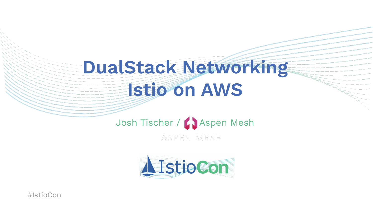# **DualStack Networking Istio on AWS**

# Josh Tischer / Baspen Mesh

ASPEN MESH

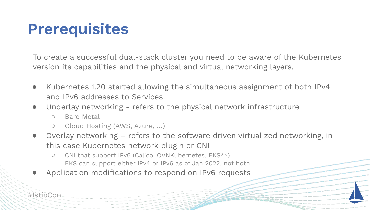## **Prerequisites**

To create a successful dual-stack cluster you need to be aware of the Kubernetes version its capabilities and the physical and virtual networking layers.

- Kubernetes 1.20 started allowing the simultaneous assignment of both IPv4 and IPv6 addresses to Services.
- Underlay networking refers to the physical network infrastructure
	- Bare Metal
	- Cloud Hosting (AWS, Azure, …)
- Overlay networking refers to the software driven virtualized networking, in this case Kubernetes network plugin or CNI
	- CNI that support IPv6 (Calico, OVNKubernetes, EKS\*\*) EKS can support either IPv4 or IPv6 as of Jan 2022, not both
- Application modifications to respond on IPv6 requests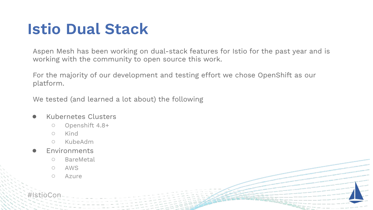## **Istio Dual Stack**

Aspen Mesh has been working on dual-stack features for Istio for the past year and is working with the community to open source this work.

For the majority of our development and testing effort we chose OpenShift as our platform.

We tested (and learned a lot about) the following

#### Kubernetes Clusters

- Openshift 4.8+
- Kind
- KubeAdm
- **Environments** 
	- BareMetal
	- AWS
	- Azure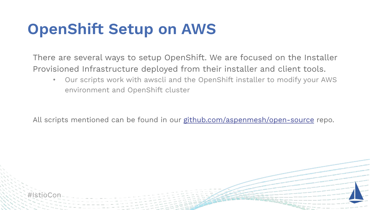## **OpenShift Setup on AWS**

There are several ways to setup OpenShift. We are focused on the Installer Provisioned Infrastructure deployed from their installer and client tools.

• Our scripts work with awscli and the OpenShift installer to modify your AWS environment and OpenShift cluster

All scripts mentioned can be found in our [github.com/aspenmesh/open-source](https://github.com/aspenmesh/open-source) repo.

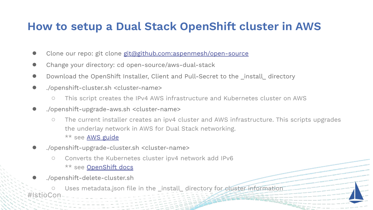## **How to setup a Dual Stack OpenShift cluster in AWS**

- Clone our repo: git clone git@github.com:aspenmesh/open-source
- Change your directory: cd open-source/aws-dual-stack
- Download the OpenShift Installer, Client and Pull-Secret to the \_install\_ directory
- ./openshift-cluster.sh <cluster-name>
	- This script creates the IPv4 AWS infrastructure and Kubernetes cluster on AWS
- ./openshift-upgrade-aws.sh <cluster-name>
	- The current installer creates an ipv4 cluster and AWS infrastructure. This scripts upgrades the underlay network in AWS for Dual Stack networking. \*\* see [AWS guide](https://docs.aws.amazon.com/vpc/latest/userguide/vpc-migrate-ipv6.html#vpc-migrate-assign-ipv6-address)
- ./openshift-upgrade-cluster.sh <cluster-name>
	- Converts the Kubernetes cluster ipv4 network add IPv6 \*\* see [OpenShift docs](https://docs.openshift.com/container-platform/4.9/networking/ovn_kubernetes_network_provider/converting-to-dual-stack.html)
- ./openshift-delete-cluster.sh

#IstioCon Uses metadata.json file in the \_install\_ directory for cluster information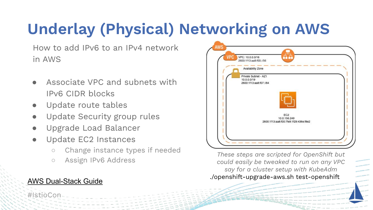# **Underlay (Physical) Networking on AWS**

How to add IPv6 to an IPv4 network in AWS

- Associate VPC and subnets with IPv6 CIDR blocks
- Update route tables
- Update Security group rules
- Upgrade Load Balancer
- Update EC2 Instances
	- Change instance types if needed
	- Assign IPv6 Address

### [AWS Dual-Stack Guide](https://docs.aws.amazon.com/vpc/latest/userguide/vpc-migrate-ipv6.html#vpc-migrate-assign-ipv6-address)

#IstioC



*These steps are scripted for OpenShift but could easily be tweaked to run on any VPC say for a cluster setup with KubeAdm* ./openshift-upgrade-aws.sh test-openshift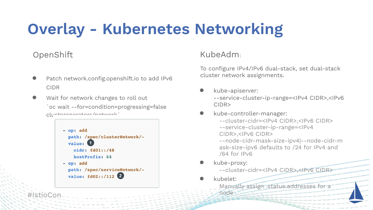## **Overlay - Kubernetes Networking**

## **OpenShift**

- Patch network.config.openshift.io to add IPv6 CIDR
- Wait for network changes to roll out `oc wait --for=condition=progressing=false clusteroperators/network`



## KubeAdm:

To configure IPv4/IPv6 dual-stack, set dual-stack cluster network assignments.

kube-apiserver: --service-cluster-ip-range=<IPv4 CIDR>,<IPv6 CIDR>

#### kube-controller-manager:

--cluster-cidr=<IPv4 CIDR>,<IPv6 CIDR> --service-cluster-ip-range=<IPv4 CIDR>,<IPv6 CIDR> --node-cidr-mask-size-ipv4|--node-cidr-m ask-size-ipv6 defaults to /24 for IPv4 and /64 for IPv6

kube-proxy:

node

- --cluster-cidr=<IPv4 CIDR>,<IPv6 CIDR>
- kubelet:

Manually assign .status.addresses for a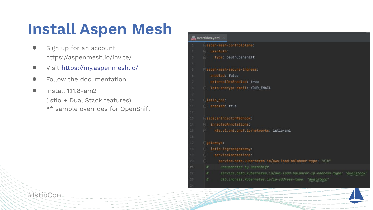## **Install Aspen Mesh**

- Sign up for an account https://aspenmesh.io/invite/
- Visit <https://my.aspenmesh.io/>
- Follow the documentation
- Install 1.11.8-am2 (Istio + Dual Stack features) \*\* sample overrides for OpenShift

```
werrides.yaml
 aspen-mesh-controlplane:
   userAuth:
    type: oauthOpenshift
 aspen-mesh-secure-ingress:
   enabled: false
   externalDnsEnabled: true
   Lets-encrypt-email: YOUR_EMAIL
istio cni:
   enabled: true
 sidecarInjectorWebhook:
   injectedAnnotations:
    k8s.v1.cni.cncf.io/networks: istio-cni
 igateways:
   istio-ingressgateway:
     serviceAnnotations:
       service.beta.kubernetes.io/aws-load-balancer-type: "nlb"
       unsupported by OpenShift
        service.beta.kubernetes.io/aws-load-balancer-ip-address-type: "dualstack'
        alb.ingress.kubernetes.io/ip-address-type: "dualstack"
```
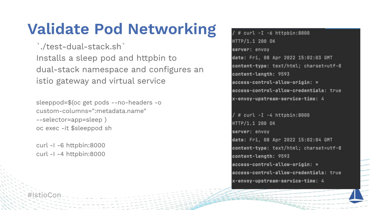## **Validate Pod Networking**

`./test-dual-stack.sh` Installs a sleep pod and httpbin to dual-stack namespace and configures an istio gateway and virtual service

sleeppod=\$(oc get pods --no-headers -o custom-columns=":metadata.name" --selector=app=sleep) oc exec -it \$sleeppod sh

curl -I -6 httpbin:8000 curl -I -4 httpbin:8000

/  $\#$  curl -I -6 httpbin:8000 HTTP/1.1 200 OK server: envoy date: Fri, 08 Apr 2022 15:02:03 GMT content-type: text/html; charset=utf-8 content-length: 9593 access-control-allow-origin: \* access-control-allow-credentials: true x-envoy-upstream-service-time: 4

/ # curl -I -4 httpbin:8000 HTTP/1.1 200 OK server: envoy date: Fri, 08 Apr 2022 15:02:04 GMT content-type: text/html; charset=utf-8 content-length: 9593 access-control-allow-origin: \* access-control-allow-credentials: true x-envoy-upstream-service-time: 4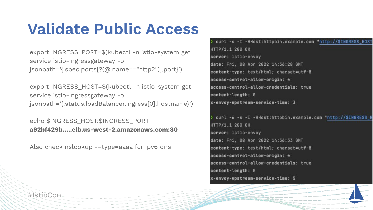## **Validate Public Access**

export INGRESS\_PORT=\$(kubectl -n istio-system get service istio-ingressgateway -o jsonpath='{.spec.ports[?(@.name=="http2")].port}')

export INGRESS\_HOST=\$(kubectl -n istio-system get service istio-ingressgateway -o jsonpath='{.status.loadBalancer.ingress[0].hostname}')

echo \$INGRESS\_HOST:\$INGRESS\_PORT **a92bf429b…..elb.us-west-2.amazonaws.com:80**

Also check nslookup -–type=aaaa for ipv6 dns

) curl -s -I -HHost:httpbin.example.com "http://\$INGRESS\_HOST HTTP/1.1 200 OK server: istio-envoy date: Fri, 08 Apr 2022 14:36:28 GMT content-type: text/html; charset=utf-8 access-control-allow-origin: \* access-control-allow-credentials: true content-length: 0 x-envoy-upstream-service-time: 3 ) curl -6 -s -I -HHost:httpbin.example.com "http://\$INGRESS\_H

HTTP/1.1 200 OK server: istio-envoy date: Fri, 08 Apr 2022 14:36:33 GMT content-type: text/html; charset=utf-8 access-control-allow-origin: \* access-control-allow-credentials: true content-length: 0 x-envoy-upstream-service-time: 5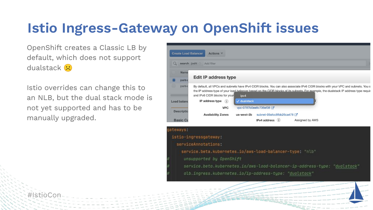## **Istio Ingress-Gateway on OpenShift issues**

OpenShift creates a Classic LB by default, which does not support dualstack <sup>2</sup>

Istio overrides can change this to an NLB, but the dual stack mode is not yet supported and has to be manually upgraded.

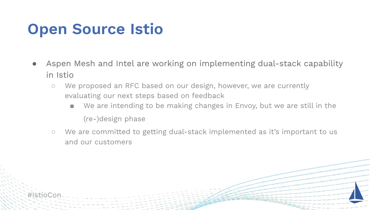## **Open Source Istio**

- Aspen Mesh and Intel are working on implementing dual-stack capability in Istio
	- We proposed an RFC based on our design, however, we are currently evaluating our next steps based on feedback
		- We are intending to be making changes in Envoy, but we are still in the (re-)design phase
	- We are committed to getting dual-stack implemented as it's important to us and our customers